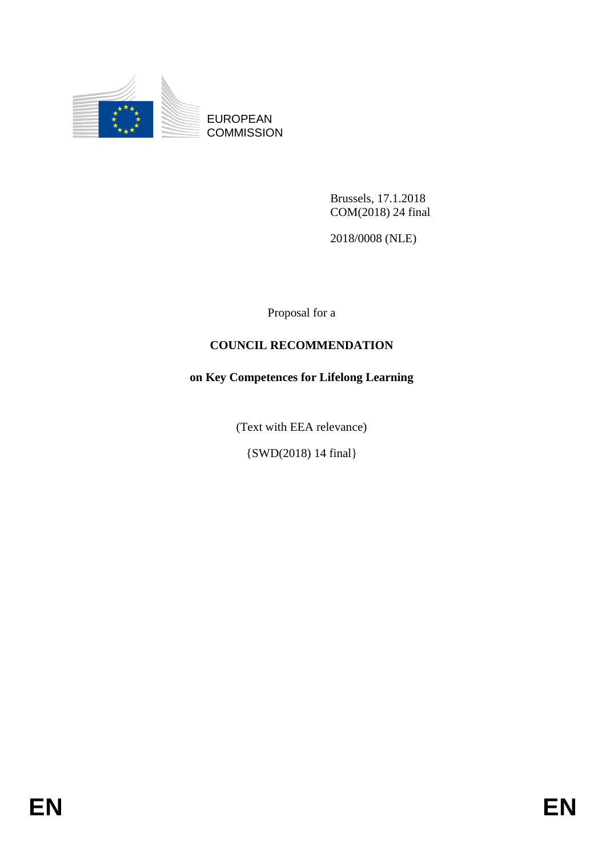

EUROPEAN **COMMISSION** 

> Brussels, 17.1.2018 COM(2018) 24 final

2018/0008 (NLE)

Proposal for a

# **COUNCIL RECOMMENDATION**

# **on Key Competences for Lifelong Learning**

(Text with EEA relevance)

{SWD(2018) 14 final}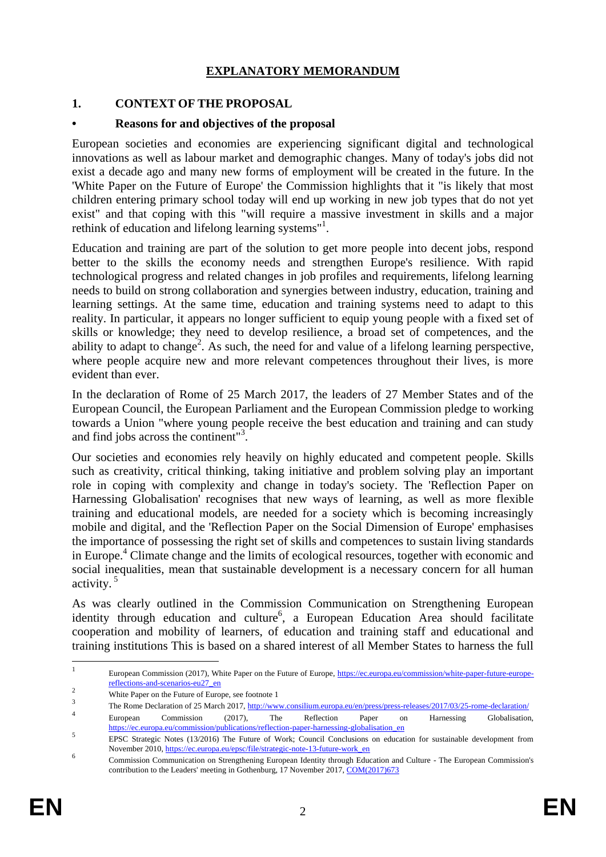# **EXPLANATORY MEMORANDUM**

### **1. CONTEXT OF THE PROPOSAL**

#### **• Reasons for and objectives of the proposal**

European societies and economies are experiencing significant digital and technological innovations as well as labour market and demographic changes. Many of today's jobs did not exist a decade ago and many new forms of employment will be created in the future. In the 'White Paper on the Future of Europe' the Commission highlights that it "is likely that most children entering primary school today will end up working in new job types that do not yet exist" and that coping with this "will require a massive investment in skills and a major rethink of education and lifelong learning systems"<sup>1</sup>.

Education and training are part of the solution to get more people into decent jobs, respond better to the skills the economy needs and strengthen Europe's resilience. With rapid technological progress and related changes in job profiles and requirements, lifelong learning needs to build on strong collaboration and synergies between industry, education, training and learning settings. At the same time, education and training systems need to adapt to this reality. In particular, it appears no longer sufficient to equip young people with a fixed set of skills or knowledge; they need to develop resilience, a broad set of competences, and the ability to adapt to change<sup>2</sup>. As such, the need for and value of a lifelong learning perspective, where people acquire new and more relevant competences throughout their lives, is more evident than ever.

In the declaration of Rome of 25 March 2017, the leaders of 27 Member States and of the European Council, the European Parliament and the European Commission pledge to working towards a Union "where young people receive the best education and training and can study and find jobs across the continent"<sup>3</sup> .

Our societies and economies rely heavily on highly educated and competent people. Skills such as creativity, critical thinking, taking initiative and problem solving play an important role in coping with complexity and change in today's society. The 'Reflection Paper on Harnessing Globalisation' recognises that new ways of learning, as well as more flexible training and educational models, are needed for a society which is becoming increasingly mobile and digital, and the 'Reflection Paper on the Social Dimension of Europe' emphasises the importance of possessing the right set of skills and competences to sustain living standards in Europe.<sup>4</sup> Climate change and the limits of ecological resources, together with economic and social inequalities, mean that sustainable development is a necessary concern for all human activity.<sup>5</sup>

As was clearly outlined in the Commission Communication on Strengthening European identity through education and culture<sup>6</sup>, a European Education Area should facilitate cooperation and mobility of learners, of education and training staff and educational and training institutions This is based on a shared interest of all Member States to harness the full

 $\frac{1}{1}$ European Commission (2017), White Paper on the Future of Europe[, https://ec.europa.eu/commission/white-paper-future-europe](https://ec.europa.eu/commission/white-paper-future-europe-reflections-and-scenarios-eu27_en)[reflections-and-scenarios-eu27\\_en](https://ec.europa.eu/commission/white-paper-future-europe-reflections-and-scenarios-eu27_en)

<sup>&</sup>lt;sup>2</sup><br>White Paper on the Future of Europe, see footnote 1

<sup>3</sup> The Rome Declaration of 25 March 2017[, http://www.consilium.europa.eu/en/press/press-releases/2017/03/25-rome-declaration/](http://www.consilium.europa.eu/en/press/press-releases/2017/03/25-rome-declaration/) 4 European Commission (2017), The Reflection Paper on Harnessing Globalisation,

[https://ec.europa.eu/commission/publications/reflection-paper-harnessing-globalisation\\_en](https://ec.europa.eu/commission/publications/reflection-paper-harnessing-globalisation_en) 5 EPSC Strategic Notes (13/2016) The Future of Work; Council Conclusions on education for sustainable development from November 2010[, https://ec.europa.eu/epsc/file/strategic-note-13-future-work\\_en](https://ec.europa.eu/epsc/file/strategic-note-13-future-work_en)

<sup>6</sup> Commission Communication on Strengthening European Identity through Education and Culture - The European Commission's contribution to the Leaders' meeting in Gothenburg, 17 November 2017[, COM\(2017\)673](http://eur-lex.europa.eu/legal-content/EN/TXT/PDF/?uri=CELEX:52017DC0673&from=EN)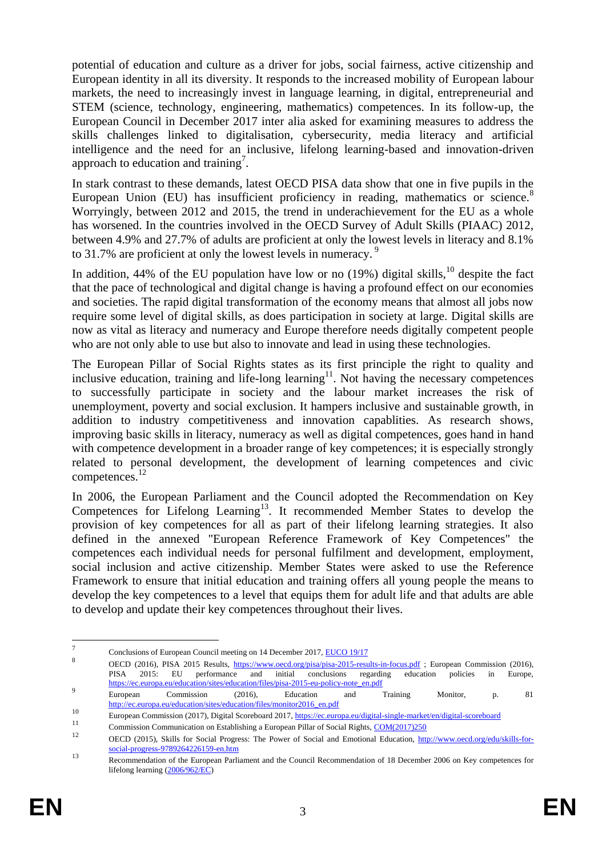potential of education and culture as a driver for jobs, social fairness, active citizenship and European identity in all its diversity. It responds to the increased mobility of European labour markets, the need to increasingly invest in language learning, in digital, entrepreneurial and STEM (science, technology, engineering, mathematics) competences. In its follow-up, the European Council in December 2017 inter alia asked for examining measures to address the skills challenges linked to digitalisation, cybersecurity, media literacy and artificial intelligence and the need for an inclusive, lifelong learning-based and innovation-driven approach to education and training<sup>7</sup>.

In stark contrast to these demands, latest OECD PISA data show that one in five pupils in the European Union (EU) has insufficient proficiency in reading, mathematics or science. $8$ Worryingly, between 2012 and 2015, the trend in underachievement for the EU as a whole has worsened. In the countries involved in the OECD Survey of Adult Skills (PIAAC) 2012, between 4.9% and 27.7% of adults are proficient at only the lowest levels in literacy and 8.1% to 31.7% are proficient at only the lowest levels in numeracy.<sup>9</sup>

In addition, 44% of the EU population have low or no  $(19%)$  digital skills,<sup>10</sup> despite the fact that the pace of technological and digital change is having a profound effect on our economies and societies. The rapid digital transformation of the economy means that almost all jobs now require some level of digital skills, as does participation in society at large. Digital skills are now as vital as literacy and numeracy and Europe therefore needs digitally competent people who are not only able to use but also to innovate and lead in using these technologies.

The European Pillar of Social Rights states as its first principle the right to quality and inclusive education, training and life-long learning<sup>11</sup>. Not having the necessary competences to successfully participate in society and the labour market increases the risk of unemployment, poverty and social exclusion. It hampers inclusive and sustainable growth, in addition to industry competitiveness and innovation capablities. As research shows, improving basic skills in literacy, numeracy as well as digital competences, goes hand in hand with competence development in a broader range of key competences; it is especially strongly related to personal development, the development of learning competences and civic competences.<sup>12</sup>

In 2006, the European Parliament and the Council adopted the Recommendation on Key Competences for Lifelong Learning<sup>13</sup>. It recommended Member States to develop the provision of key competences for all as part of their lifelong learning strategies. It also defined in the annexed "European Reference Framework of Key Competences" the competences each individual needs for personal fulfilment and development, employment, social inclusion and active citizenship. Member States were asked to use the Reference Framework to ensure that initial education and training offers all young people the means to develop the key competences to a level that equips them for adult life and that adults are able to develop and update their key competences throughout their lives.

 $\frac{1}{7}$ Conclusions of European Council meeting on 14 December 2017[, EUCO 19/17](http://www.consilium.europa.eu/en/meetings/european-council/2017/12/14-15/)

<sup>8</sup> OECD (2016), PISA 2015 Results,<https://www.oecd.org/pisa/pisa-2015-results-in-focus.pdf> ; European Commission (2016), PISA 2015: EU performance and initial conclusions regarding education policies in Europe, [https://ec.europa.eu/education/sites/education/files/pisa-2015-eu-policy-note\\_en.pdf](https://ec.europa.eu/education/sites/education/files/pisa-2015-eu-policy-note_en.pdf) 9

European Commission (2016), Education and Training Monitor, p. 81 [http://ec.europa.eu/education/sites/education/files/monitor2016\\_en.pdf](http://ec.europa.eu/education/sites/education/files/monitor2016_en.pdf)

<sup>10</sup> European Commission (2017), Digital Scoreboard 2017,<https://ec.europa.eu/digital-single-market/en/digital-scoreboard>

<sup>&</sup>lt;sup>11</sup> Commission Communication on Establishing a European Pillar of Social Rights,  $\frac{COM(2017)250}{12}$ 

<sup>12</sup> OECD (2015), Skills for Social Progress: The Power of Social and Emotional Education, [http://www.oecd.org/edu/skills-for](http://www.oecd.org/edu/skills-for-social-progress-9789264226159-en.htm)[social-progress-9789264226159-en.htm](http://www.oecd.org/edu/skills-for-social-progress-9789264226159-en.htm)

<sup>13</sup> Recommendation of the European Parliament and the Council Recommendation of 18 December 2006 on Key competences for lifelong learning [\(2006/962/EC\)](http://eur-lex.europa.eu/legal-content/EN/TXT/PDF/?uri=CELEX:32006H0962&from=EN)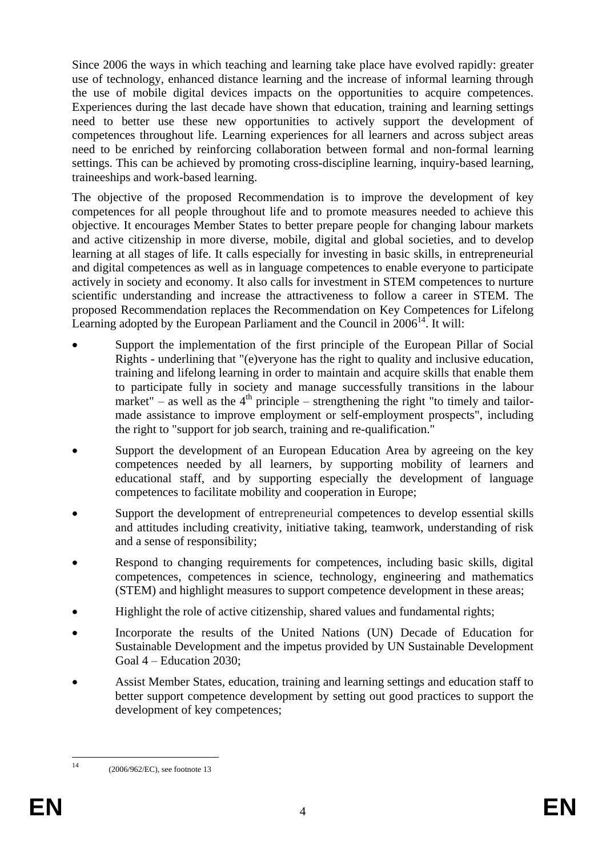Since 2006 the ways in which teaching and learning take place have evolved rapidly: greater use of technology, enhanced distance learning and the increase of informal learning through the use of mobile digital devices impacts on the opportunities to acquire competences. Experiences during the last decade have shown that education, training and learning settings need to better use these new opportunities to actively support the development of competences throughout life. Learning experiences for all learners and across subject areas need to be enriched by reinforcing collaboration between formal and non-formal learning settings. This can be achieved by promoting cross-discipline learning, inquiry-based learning, traineeships and work-based learning.

The objective of the proposed Recommendation is to improve the development of key competences for all people throughout life and to promote measures needed to achieve this objective. It encourages Member States to better prepare people for changing labour markets and active citizenship in more diverse, mobile, digital and global societies, and to develop learning at all stages of life. It calls especially for investing in basic skills, in entrepreneurial and digital competences as well as in language competences to enable everyone to participate actively in society and economy. It also calls for investment in STEM competences to nurture scientific understanding and increase the attractiveness to follow a career in STEM. The proposed Recommendation replaces the Recommendation on Key Competences for Lifelong Learning adopted by the European Parliament and the Council in  $2006<sup>14</sup>$ . It will:

- Support the implementation of the first principle of the European Pillar of Social Rights - underlining that "(e)veryone has the right to quality and inclusive education, training and lifelong learning in order to maintain and acquire skills that enable them to participate fully in society and manage successfully transitions in the labour market" – as well as the  $4<sup>th</sup>$  principle – strengthening the right "to timely and tailormade assistance to improve employment or self-employment prospects", including the right to "support for job search, training and re-qualification."
- Support the development of an European Education Area by agreeing on the key competences needed by all learners, by supporting mobility of learners and educational staff, and by supporting especially the development of language competences to facilitate mobility and cooperation in Europe;
- Support the development of entrepreneurial competences to develop essential skills and attitudes including creativity, initiative taking, teamwork, understanding of risk and a sense of responsibility;
- Respond to changing requirements for competences, including basic skills, digital competences, competences in science, technology, engineering and mathematics (STEM) and highlight measures to support competence development in these areas;
- Highlight the role of active citizenship, shared values and fundamental rights;
- Incorporate the results of the United Nations (UN) Decade of Education for Sustainable Development and the impetus provided by UN Sustainable Development Goal 4 – Education 2030;
- Assist Member States, education, training and learning settings and education staff to better support competence development by setting out good practices to support the development of key competences;

 $14$ 

<sup>14</sup> (2006/962/EC), see footnote 13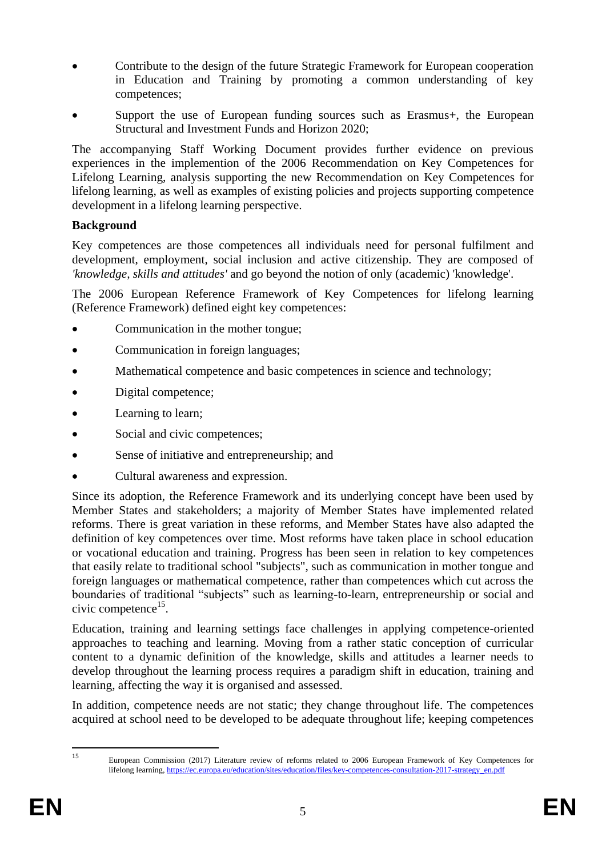- Contribute to the design of the future Strategic Framework for European cooperation in Education and Training by promoting a common understanding of key competences;
- Support the use of European funding sources such as Erasmus+, the European Structural and Investment Funds and Horizon 2020;

The accompanying Staff Working Document provides further evidence on previous experiences in the implemention of the 2006 Recommendation on Key Competences for Lifelong Learning, analysis supporting the new Recommendation on Key Competences for lifelong learning, as well as examples of existing policies and projects supporting competence development in a lifelong learning perspective.

#### **Background**

Key competences are those competences all individuals need for personal fulfilment and development, employment, social inclusion and active citizenship. They are composed of *'knowledge, skills and attitudes'* and go beyond the notion of only (academic) 'knowledge'.

The 2006 European Reference Framework of Key Competences for lifelong learning (Reference Framework) defined eight key competences:

- Communication in the mother tongue;
- Communication in foreign languages;
- Mathematical competence and basic competences in science and technology;
- Digital competence;
- Learning to learn;
- Social and civic competences;
- Sense of initiative and entrepreneurship; and
- Cultural awareness and expression.

Since its adoption, the Reference Framework and its underlying concept have been used by Member States and stakeholders; a majority of Member States have implemented related reforms. There is great variation in these reforms, and Member States have also adapted the definition of key competences over time. Most reforms have taken place in school education or vocational education and training. Progress has been seen in relation to key competences that easily relate to traditional school "subjects", such as communication in mother tongue and foreign languages or mathematical competence, rather than competences which cut across the boundaries of traditional "subjects" such as learning-to-learn, entrepreneurship or social and civic competence<sup>15</sup>.

Education, training and learning settings face challenges in applying competence-oriented approaches to teaching and learning. Moving from a rather static conception of curricular content to a dynamic definition of the knowledge, skills and attitudes a learner needs to develop throughout the learning process requires a paradigm shift in education, training and learning, affecting the way it is organised and assessed.

In addition, competence needs are not static; they change throughout life. The competences acquired at school need to be developed to be adequate throughout life; keeping competences

 $15$ 

<sup>15</sup> European Commission (2017) Literature review of reforms related to 2006 European Framework of Key Competences for lifelong learning, [https://ec.europa.eu/education/sites/education/files/key-competences-consultation-2017-strategy\\_en.pdf](https://ec.europa.eu/education/sites/education/files/key-competences-consultation-2017-strategy_en.pdf)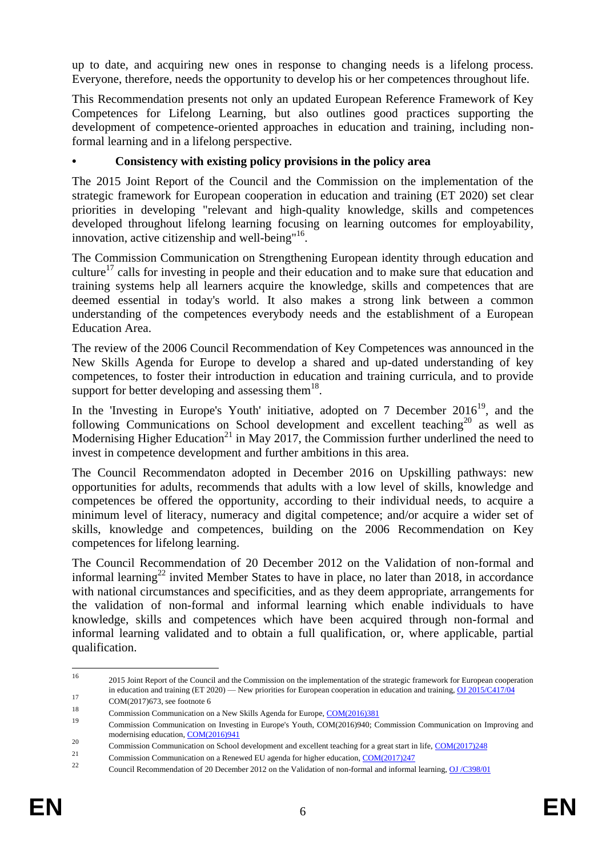up to date, and acquiring new ones in response to changing needs is a lifelong process. Everyone, therefore, needs the opportunity to develop his or her competences throughout life.

This Recommendation presents not only an updated European Reference Framework of Key Competences for Lifelong Learning, but also outlines good practices supporting the development of competence-oriented approaches in education and training, including nonformal learning and in a lifelong perspective.

# **• Consistency with existing policy provisions in the policy area**

The 2015 Joint Report of the Council and the Commission on the implementation of the strategic framework for European cooperation in education and training (ET 2020) set clear priorities in developing "relevant and high-quality knowledge, skills and competences developed throughout lifelong learning focusing on learning outcomes for employability, innovation, active citizenship and well-being"<sup>16</sup>.

The Commission Communication on Strengthening European identity through education and culture<sup>17</sup> calls for investing in people and their education and to make sure that education and training systems help all learners acquire the knowledge, skills and competences that are deemed essential in today's world. It also makes a strong link between a common understanding of the competences everybody needs and the establishment of a European Education Area.

The review of the 2006 Council Recommendation of Key Competences was announced in the New Skills Agenda for Europe to develop a shared and up-dated understanding of key competences, to foster their introduction in education and training curricula, and to provide support for better developing and assessing them $^{18}$ .

In the 'Investing in Europe's Youth' initiative, adopted on  $7$  December  $2016^{19}$ , and the following Communications on School development and excellent teaching<sup>20</sup> as well as Modernising Higher Education<sup>21</sup> in May 2017, the Commission further underlined the need to invest in competence development and further ambitions in this area.

The Council Recommendaton adopted in December 2016 on Upskilling pathways: new opportunities for adults, recommends that adults with a low level of skills, knowledge and competences be offered the opportunity, according to their individual needs, to acquire a minimum level of literacy, numeracy and digital competence; and/or acquire a wider set of skills, knowledge and competences, building on the 2006 Recommendation on Key competences for lifelong learning.

The Council Recommendation of 20 December 2012 on the Validation of non-formal and informal learning<sup>22</sup> invited Member States to have in place, no later than 2018, in accordance with national circumstances and specificities, and as they deem appropriate, arrangements for the validation of non-formal and informal learning which enable individuals to have knowledge, skills and competences which have been acquired through non-formal and informal learning validated and to obtain a full qualification, or, where applicable, partial qualification.

<sup>16</sup> <sup>16</sup> 2015 Joint Report of the Council and the Commission on the implementation of the strategic framework for European cooperation in education and training (ET 2020) — New priorities for European cooperation in education and training[, OJ 2015/C417/04](http://eur-lex.europa.eu/legal-content/EN/TXT/PDF/?uri=OJ:C:2015:417:FULL&from=EN)

 $17$  COM(2017)673, see footnote 6

<sup>&</sup>lt;sup>18</sup> Commission Communication on a New Skills Agenda for Europe,  $\frac{COM(2016)381}{2}$ 

<sup>19</sup> Commission Communication on Investing in Europe's Youth, COM(2016)940; Commission Communication on Improving and modernising education, [COM\(2016\)941](http://eur-lex.europa.eu/legal-content/EN/TXT/PDF/?uri=CELEX:52016DC0941&from=EN)

<sup>20</sup> Commission Communication on School development and excellent teaching for a great start in life,  $COM(2017)248$ 

 $\frac{21}{22}$  Commission Communication on a Renewed EU agenda for higher education,  $\frac{COM(2017)247}{122}$ 

<sup>22</sup> Council Recommendation of 20 December 2012 on the Validation of non-formal and informal learning[, OJ /C398/01](http://eur-lex.europa.eu/LexUriServ/LexUriServ.do?uri=OJ:C:2012:398:0001:0005:EN:PDF)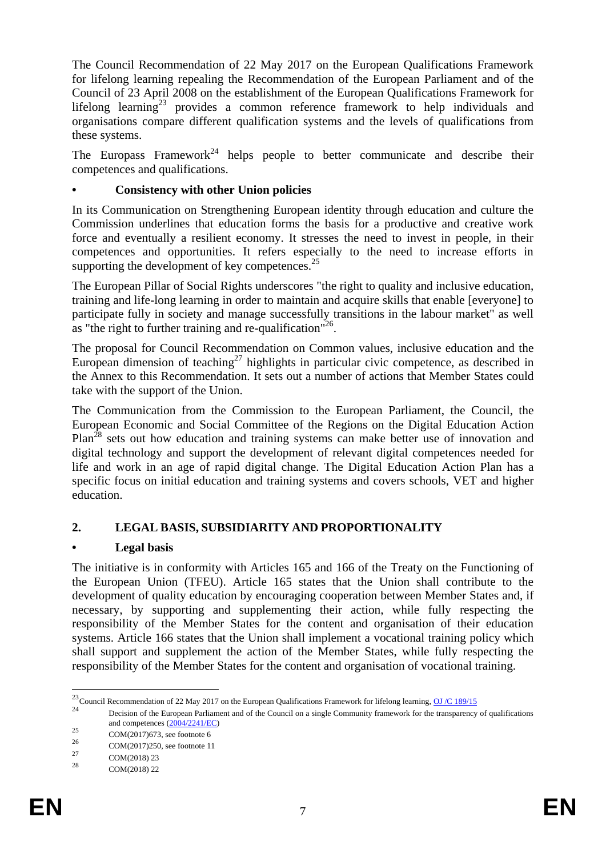The Council Recommendation of 22 May 2017 on the European Qualifications Framework for lifelong learning repealing the Recommendation of the European Parliament and of the Council of 23 April 2008 on the establishment of the European Qualifications Framework for lifelong learning<sup>23</sup> provides a common reference framework to help individuals and organisations compare different qualification systems and the levels of qualifications from these systems.

The Europass Framework<sup>24</sup> helps people to better communicate and describe their competences and qualifications.

# **• Consistency with other Union policies**

In its Communication on Strengthening European identity through education and culture the Commission underlines that education forms the basis for a productive and creative work force and eventually a resilient economy. It stresses the need to invest in people, in their competences and opportunities. It refers especially to the need to increase efforts in supporting the development of key competences. $^{25}$ 

The European Pillar of Social Rights underscores "the right to quality and inclusive education, training and life-long learning in order to maintain and acquire skills that enable [everyone] to participate fully in society and manage successfully transitions in the labour market" as well as "the right to further training and re-qualification"<sup>26</sup>.

The proposal for Council Recommendation on Common values, inclusive education and the European dimension of teaching<sup>27</sup> highlights in particular civic competence, as described in the Annex to this Recommendation. It sets out a number of actions that Member States could take with the support of the Union.

The Communication from the Commission to the European Parliament, the Council, the European Economic and Social Committee of the Regions on the Digital Education Action Plan<sup>28</sup> sets out how education and training systems can make better use of innovation and digital technology and support the development of relevant digital competences needed for life and work in an age of rapid digital change. The Digital Education Action Plan has a specific focus on initial education and training systems and covers schools, VET and higher education.

# **2. LEGAL BASIS, SUBSIDIARITY AND PROPORTIONALITY**

# **• Legal basis**

The initiative is in conformity with Articles 165 and 166 of the Treaty on the Functioning of the European Union (TFEU). Article 165 states that the Union shall contribute to the development of quality education by encouraging cooperation between Member States and, if necessary, by supporting and supplementing their action, while fully respecting the responsibility of the Member States for the content and organisation of their education systems. Article 166 states that the Union shall implement a vocational training policy which shall support and supplement the action of the Member States, while fully respecting the responsibility of the Member States for the content and organisation of vocational training.

1

<sup>&</sup>lt;sup>23</sup> Council Recommendation of 22 May 2017 on the European Qualifications Framework for lifelong learning, <u>OJ/C 189/15</u>

<sup>24</sup> Decision of the European Parliament and of the Council on a single Community framework for the transparency of qualifications and competences [\(2004/2241/EC\)](http://eur-lex.europa.eu/legal-content/EN/TXT/PDF/?uri=CELEX:32004D2241&from=EN)

<sup>25</sup> COM(2017)673, see footnote 6<br>26

 $^{26}$  COM(2017)250, see footnote 11

 $27 \text{ COM}(2018) 23$ 

COM(2018) 22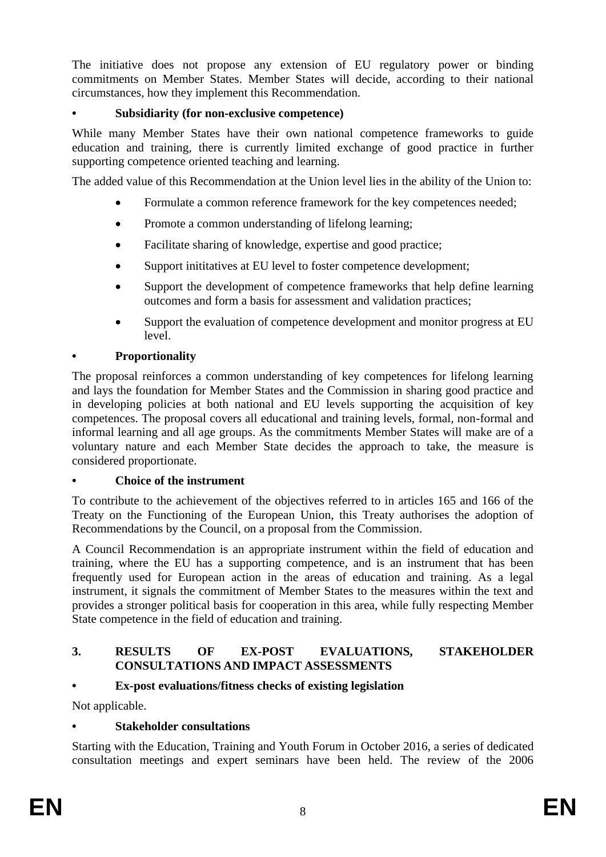The initiative does not propose any extension of EU regulatory power or binding commitments on Member States. Member States will decide, according to their national circumstances, how they implement this Recommendation.

# **• Subsidiarity (for non-exclusive competence)**

While many Member States have their own national competence frameworks to guide education and training, there is currently limited exchange of good practice in further supporting competence oriented teaching and learning.

The added value of this Recommendation at the Union level lies in the ability of the Union to:

- Formulate a common reference framework for the key competences needed;
- Promote a common understanding of lifelong learning:
- Facilitate sharing of knowledge, expertise and good practice;
- Support inititatives at EU level to foster competence development;
- Support the development of competence frameworks that help define learning outcomes and form a basis for assessment and validation practices;
- Support the evaluation of competence development and monitor progress at EU level.

# **• Proportionality**

The proposal reinforces a common understanding of key competences for lifelong learning and lays the foundation for Member States and the Commission in sharing good practice and in developing policies at both national and EU levels supporting the acquisition of key competences. The proposal covers all educational and training levels, formal, non-formal and informal learning and all age groups. As the commitments Member States will make are of a voluntary nature and each Member State decides the approach to take, the measure is considered proportionate.

# **• Choice of the instrument**

To contribute to the achievement of the objectives referred to in articles 165 and 166 of the Treaty on the Functioning of the European Union, this Treaty authorises the adoption of Recommendations by the Council, on a proposal from the Commission.

A Council Recommendation is an appropriate instrument within the field of education and training, where the EU has a supporting competence, and is an instrument that has been frequently used for European action in the areas of education and training. As a legal instrument, it signals the commitment of Member States to the measures within the text and provides a stronger political basis for cooperation in this area, while fully respecting Member State competence in the field of education and training.

# **3. RESULTS OF EX-POST EVALUATIONS, STAKEHOLDER CONSULTATIONS AND IMPACT ASSESSMENTS**

# **• Ex-post evaluations/fitness checks of existing legislation**

Not applicable.

# **• Stakeholder consultations**

Starting with the Education, Training and Youth Forum in October 2016, a series of dedicated consultation meetings and expert seminars have been held. The review of the 2006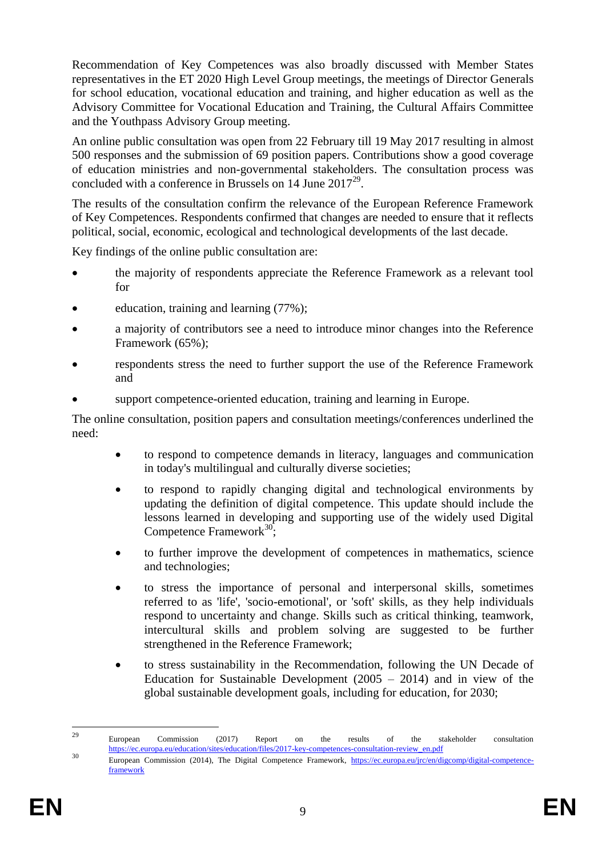Recommendation of Key Competences was also broadly discussed with Member States representatives in the ET 2020 High Level Group meetings, the meetings of Director Generals for school education, vocational education and training, and higher education as well as the Advisory Committee for Vocational Education and Training, the Cultural Affairs Committee and the Youthpass Advisory Group meeting.

An online public consultation was open from 22 February till 19 May 2017 resulting in almost 500 responses and the submission of 69 position papers. Contributions show a good coverage of education ministries and non-governmental stakeholders. The consultation process was concluded with a conference in Brussels on 14 June  $2017^{29}$ .

The results of the consultation confirm the relevance of the European Reference Framework of Key Competences. Respondents confirmed that changes are needed to ensure that it reflects political, social, economic, ecological and technological developments of the last decade.

Key findings of the online public consultation are:

- the majority of respondents appreciate the Reference Framework as a relevant tool for
- education, training and learning (77%);
- a majority of contributors see a need to introduce minor changes into the Reference Framework (65%);
- respondents stress the need to further support the use of the Reference Framework and
- support competence-oriented education, training and learning in Europe.

The online consultation, position papers and consultation meetings/conferences underlined the need:

- to respond to competence demands in literacy, languages and communication in today's multilingual and culturally diverse societies;
- to respond to rapidly changing digital and technological environments by updating the definition of digital competence. This update should include the lessons learned in developing and supporting use of the widely used Digital Competence Framework<sup>30</sup>;
- to further improve the development of competences in mathematics, science and technologies;
- to stress the importance of personal and interpersonal skills, sometimes referred to as 'life', 'socio-emotional', or 'soft' skills, as they help individuals respond to uncertainty and change. Skills such as critical thinking, teamwork, intercultural skills and problem solving are suggested to be further strengthened in the Reference Framework;
- to stress sustainability in the Recommendation, following the UN Decade of Education for Sustainable Development  $(2005 - 2014)$  and in view of the global sustainable development goals, including for education, for 2030;

<sup>29</sup> <sup>29</sup> European Commission (2017) Report on the results of the stakeholder consultation [https://ec.europa.eu/education/sites/education/files/2017-key-competences-consultation-review\\_en.pdf](https://ec.europa.eu/education/sites/education/files/2017-key-competences-consultation-review_en.pdf)

<sup>30</sup> European Commission (2014), The Digital Competence Framework, [https://ec.europa.eu/jrc/en/digcomp/digital-competence](https://ec.europa.eu/jrc/en/digcomp/digital-competence-framework)[framework](https://ec.europa.eu/jrc/en/digcomp/digital-competence-framework)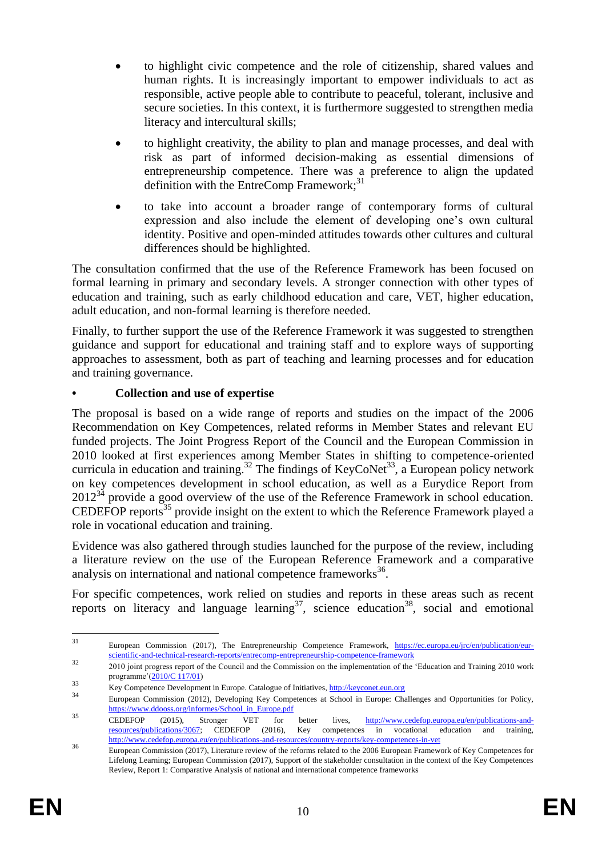- to highlight civic competence and the role of citizenship, shared values and human rights. It is increasingly important to empower individuals to act as responsible, active people able to contribute to peaceful, tolerant, inclusive and secure societies. In this context, it is furthermore suggested to strengthen media literacy and intercultural skills;
- to highlight creativity, the ability to plan and manage processes, and deal with risk as part of informed decision-making as essential dimensions of entrepreneurship competence. There was a preference to align the updated definition with the EntreComp Framework; $^{31}$
- to take into account a broader range of contemporary forms of cultural expression and also include the element of developing one's own cultural identity. Positive and open-minded attitudes towards other cultures and cultural differences should be highlighted.

The consultation confirmed that the use of the Reference Framework has been focused on formal learning in primary and secondary levels. A stronger connection with other types of education and training, such as early childhood education and care, VET, higher education, adult education, and non-formal learning is therefore needed.

Finally, to further support the use of the Reference Framework it was suggested to strengthen guidance and support for educational and training staff and to explore ways of supporting approaches to assessment, both as part of teaching and learning processes and for education and training governance.

# **• Collection and use of expertise**

The proposal is based on a wide range of reports and studies on the impact of the 2006 Recommendation on Key Competences, related reforms in Member States and relevant EU funded projects. The Joint Progress Report of the Council and the European Commission in 2010 looked at first experiences among Member States in shifting to competence-oriented curricula in education and training.<sup>32</sup> The findings of KeyCoNet<sup>33</sup>, a European policy network on key competences development in school education, as well as a Eurydice Report from  $2012^{34}$  provide a good overview of the use of the Reference Framework in school education. CEDEFOP reports<sup>35</sup> provide insight on the extent to which the Reference Framework played a role in vocational education and training.

Evidence was also gathered through studies launched for the purpose of the review, including a literature review on the use of the European Reference Framework and a comparative analysis on international and national competence frameworks<sup>36</sup>.

For specific competences, work relied on studies and reports in these areas such as recent reports on literacy and language learning<sup>37</sup>, science education<sup>38</sup>, social and emotional

 $31$ European Commission (2017), The Entrepreneurship Competence Framework, [https://ec.europa.eu/jrc/en/publication/eur](https://ec.europa.eu/jrc/en/publication/eur-scientific-and-technical-research-reports/entrecomp-entrepreneurship-competence-framework)[scientific-and-technical-research-reports/entrecomp-entrepreneurship-competence-framework](https://ec.europa.eu/jrc/en/publication/eur-scientific-and-technical-research-reports/entrecomp-entrepreneurship-competence-framework)

<sup>&</sup>lt;sup>32</sup> 2010 joint progress report of the Council and the Commission on the implementation of the 'Education and Training 2010 work programme'[\(2010/C 117/01\)](http://eur-lex.europa.eu/legal-content/EN/TXT/PDF/?uri=OJ:C:2010:117:FULL&from=DE)

<sup>33</sup> Key Competence Development in Europe. Catalogue of Initiatives[, http://keyconet.eun.org](http://keyconet.eun.org/)

<sup>34</sup> European Commission (2012), Developing Key Competences at School in Europe: Challenges and Opportunities for Policy, [https://www.ddooss.org/informes/School\\_in\\_Europe.pdf](https://www.ddooss.org/informes/School_in_Europe.pdf)

<sup>35</sup> CEDEFOP (2015), Stronger VET for better lives, http://www.cedefop.europa.eu/en/publications-and-<br>resources/publications/3067; CEDEFOP (2016), Key competences in vocational education and training, Key competences in vocational education and training, <http://www.cedefop.europa.eu/en/publications-and-resources/country-reports/key-competences-in-vet>

<sup>&</sup>lt;sup>36</sup> European Commission (2017), Literature review of the reforms related to the 2006 European Framework of Key Competences for Lifelong Learning; European Commission (2017), Support of the stakeholder consultation in the context of the Key Competences Review, Report 1: Comparative Analysis of national and international competence frameworks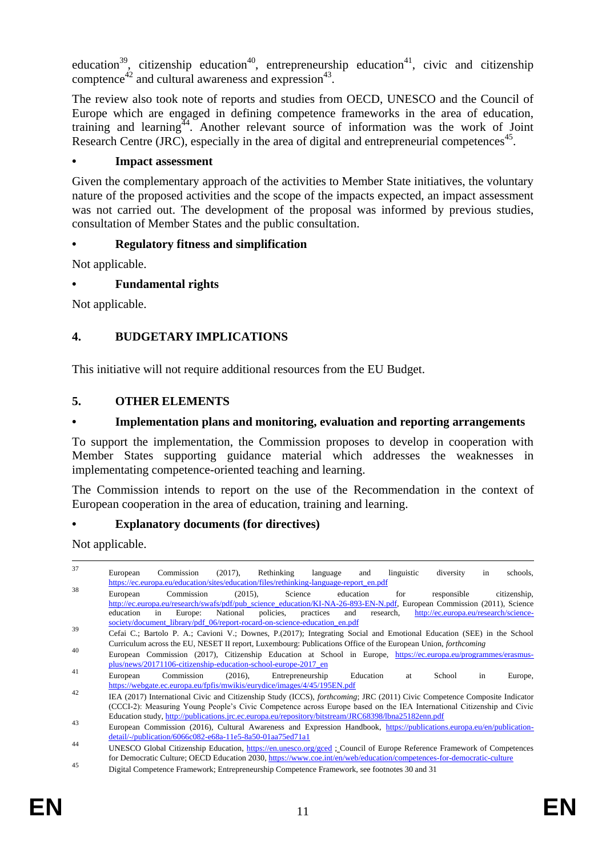education<sup>39</sup>, citizenship education<sup>40</sup>, entrepreneurship education<sup>41</sup>, civic and citizenship comptence<sup>42</sup> and cultural awareness and expression<sup>43</sup>.

The review also took note of reports and studies from OECD, UNESCO and the Council of Europe which are engaged in defining competence frameworks in the area of education, training and learning<sup>44</sup>. Another relevant source of information was the work of Joint Research Centre (JRC), especially in the area of digital and entrepreneurial competences<sup>45</sup>.

#### **• Impact assessment**

Given the complementary approach of the activities to Member State initiatives, the voluntary nature of the proposed activities and the scope of the impacts expected, an impact assessment was not carried out. The development of the proposal was informed by previous studies, consultation of Member States and the public consultation.

# **• Regulatory fitness and simplification**

Not applicable.

# **• Fundamental rights**

Not applicable.

# **4. BUDGETARY IMPLICATIONS**

This initiative will not require additional resources from the EU Budget.

#### **5. OTHER ELEMENTS**

### **• Implementation plans and monitoring, evaluation and reporting arrangements**

To support the implementation, the Commission proposes to develop in cooperation with Member States supporting guidance material which addresses the weaknesses in implementating competence-oriented teaching and learning.

The Commission intends to report on the use of the Recommendation in the context of European cooperation in the area of education, training and learning.

# **• Explanatory documents (for directives)**

Not applicable.

| 37 | $(2017)$ ,<br>Rethinking<br>diversity<br>schools,<br>Commission<br>linguistic<br>European<br>language<br>and<br>in<br>https://ec.europa.eu/education/sites/education/files/rethinking-language-report_en.pdf                                                                                                                                                                                                                                |
|----|---------------------------------------------------------------------------------------------------------------------------------------------------------------------------------------------------------------------------------------------------------------------------------------------------------------------------------------------------------------------------------------------------------------------------------------------|
| 38 | Commission<br>Science<br>$(2015)$ ,<br>education<br>responsible<br>citizenship,<br>for<br>European<br>http://ec.europa.eu/research/swafs/pdf/pub_science_education/KI-NA-26-893-EN-N.pdf, European Commission (2011), Science<br>National<br>policies.<br>and<br>http://ec.europa.eu/research/science-<br>education<br>Europe:<br>practices<br>research,<br>in<br>society/document_library/pdf_06/report-rocard-on-science-education_en.pdf |
| 39 | Cefai C.; Bartolo P. A.; Cavioni V.; Downes, P.(2017); Integrating Social and Emotional Education (SEE) in the School<br>Curriculum across the EU, NESET II report, Luxembourg: Publications Office of the European Union, <i>forthcoming</i>                                                                                                                                                                                               |
| 40 | European Commission (2017), Citizenship Education at School in Europe, https://ec.europa.eu/programmes/erasmus-<br>plus/news/20171106-citizenship-education-school-europe-2017_en                                                                                                                                                                                                                                                           |
| 41 | Commission<br>$(2016)$ ,<br>Entrepreneurship<br>Education<br>European<br>School<br>in<br>Europe,<br>at<br>https://webgate.ec.europa.eu/fpfis/mwikis/eurydice/images/4/45/195EN.pdf                                                                                                                                                                                                                                                          |
| 42 | IEA (2017) International Civic and Citizenship Study (ICCS), <i>forthcoming</i> ; JRC (2011) Civic Competence Composite Indicator<br>(CCCI-2): Measuring Young People's Civic Competence across Europe based on the IEA International Citizenship and Civic<br>Education study, http://publications.jrc.ec.europa.eu/repository/bitstream/JRC68398/lbna25182enn.pdf                                                                         |
| 43 | European Commission (2016), Cultural Awareness and Expression Handbook, https://publications.europa.eu/en/publication-<br>detail/-/publication/6066c082-e68a-11e5-8a50-01aa75ed71a1                                                                                                                                                                                                                                                         |
| 44 | UNESCO Global Citizenship Education, https://en.unesco.org/gced; Council of Europe Reference Framework of Competences<br>for Democratic Culture; OECD Education 2030, https://www.coe.int/en/web/education/competences-for-democratic-culture                                                                                                                                                                                               |

<sup>45&</sup>lt;br>Digital Competence Framework; Entrepreneurship Competence Framework, see footnotes 30 and 31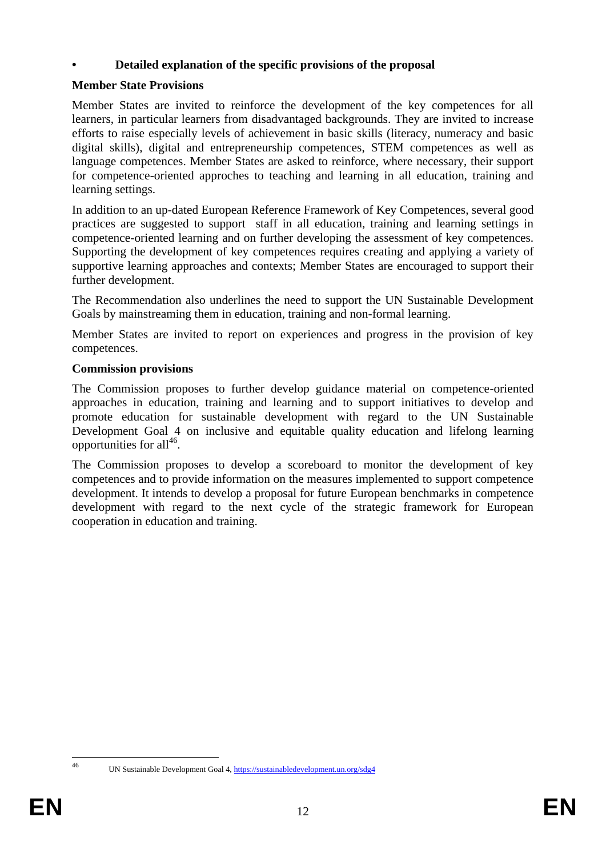# **• Detailed explanation of the specific provisions of the proposal**

# **Member State Provisions**

Member States are invited to reinforce the development of the key competences for all learners, in particular learners from disadvantaged backgrounds. They are invited to increase efforts to raise especially levels of achievement in basic skills (literacy, numeracy and basic digital skills), digital and entrepreneurship competences, STEM competences as well as language competences. Member States are asked to reinforce, where necessary, their support for competence-oriented approches to teaching and learning in all education, training and learning settings.

In addition to an up-dated European Reference Framework of Key Competences, several good practices are suggested to support staff in all education, training and learning settings in competence-oriented learning and on further developing the assessment of key competences. Supporting the development of key competences requires creating and applying a variety of supportive learning approaches and contexts; Member States are encouraged to support their further development.

The Recommendation also underlines the need to support the UN Sustainable Development Goals by mainstreaming them in education, training and non-formal learning.

Member States are invited to report on experiences and progress in the provision of key competences.

# **Commission provisions**

The Commission proposes to further develop guidance material on competence-oriented approaches in education, training and learning and to support initiatives to develop and promote education for sustainable development with regard to the UN Sustainable Development Goal 4 on inclusive and equitable quality education and lifelong learning opportunities for all<sup>46</sup>.

The Commission proposes to develop a scoreboard to monitor the development of key competences and to provide information on the measures implemented to support competence development. It intends to develop a proposal for future European benchmarks in competence development with regard to the next cycle of the strategic framework for European cooperation in education and training.

 $46$ 

UN Sustainable Development Goal 4,<https://sustainabledevelopment.un.org/sdg4>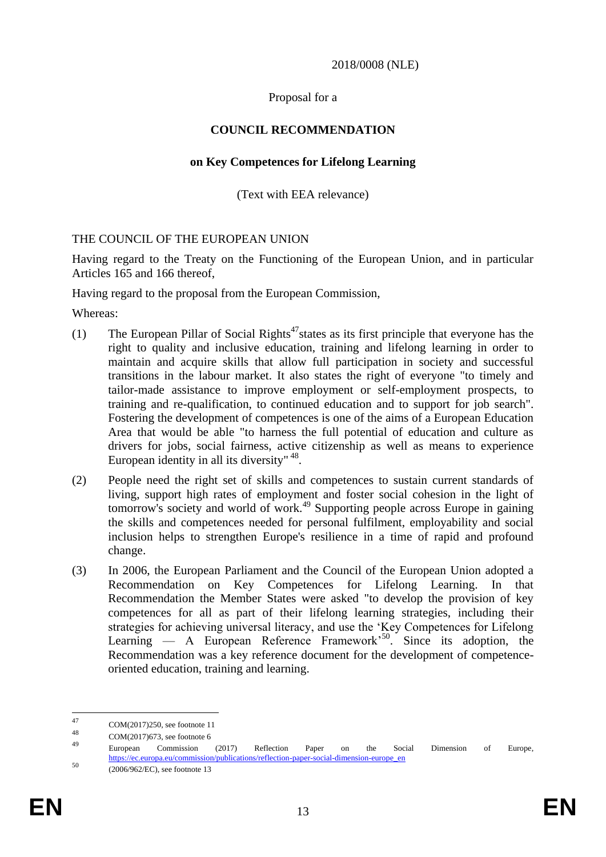2018/0008 (NLE)

Proposal for a

# **COUNCIL RECOMMENDATION**

### **on Key Competences for Lifelong Learning**

(Text with EEA relevance)

# THE COUNCIL OF THE EUROPEAN UNION

Having regard to the Treaty on the Functioning of the European Union, and in particular Articles 165 and 166 thereof,

Having regard to the proposal from the European Commission,

Whereas:

- (1) The European Pillar of Social Rights<sup> $47$ </sup> states as its first principle that everyone has the right to quality and inclusive education, training and lifelong learning in order to maintain and acquire skills that allow full participation in society and successful transitions in the labour market. It also states the right of everyone "to timely and tailor-made assistance to improve employment or self-employment prospects, to training and re-qualification, to continued education and to support for job search". Fostering the development of competences is one of the aims of a European Education Area that would be able "to harness the full potential of education and culture as drivers for jobs, social fairness, active citizenship as well as means to experience European identity in all its diversity"<sup>48</sup>.
- (2) People need the right set of skills and competences to sustain current standards of living, support high rates of employment and foster social cohesion in the light of tomorrow's society and world of work.<sup>49</sup> Supporting people across Europe in gaining the skills and competences needed for personal fulfilment, employability and social inclusion helps to strengthen Europe's resilience in a time of rapid and profound change.
- (3) In 2006, the European Parliament and the Council of the European Union adopted a Recommendation on Key Competences for Lifelong Learning. In that Recommendation the Member States were asked "to develop the provision of key competences for all as part of their lifelong learning strategies, including their strategies for achieving universal literacy, and use the 'Key Competences for Lifelong Learning — A European Reference Framework<sup>50</sup>. Since its adoption, the Recommendation was a key reference document for the development of competenceoriented education, training and learning.

<sup>47</sup>  $47 \text{ COM}(2017)250$ , see footnote 11

<sup>48</sup> COM(2017)673, see footnote 6

<sup>49</sup> European Commission (2017) Reflection Paper on the Social Dimension of Europe, [https://ec.europa.eu/commission/publications/reflection-paper-social-dimension-europe\\_en](https://ec.europa.eu/commission/publications/reflection-paper-social-dimension-europe_en)

<sup>50</sup> (2006/962/EC), see footnote 13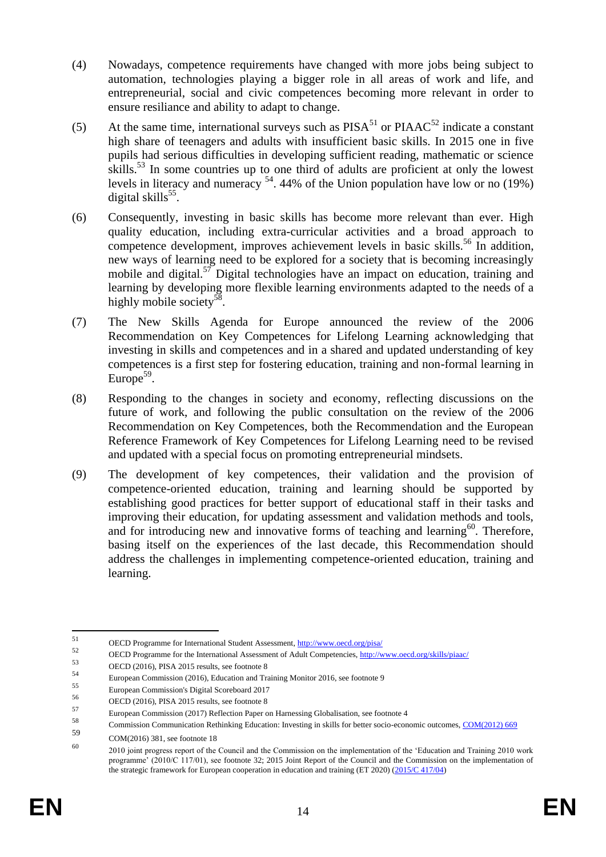- (4) Nowadays, competence requirements have changed with more jobs being subject to automation, technologies playing a bigger role in all areas of work and life, and entrepreneurial, social and civic competences becoming more relevant in order to ensure resiliance and ability to adapt to change.
- (5) At the same time, international surveys such as  $PISA<sup>51</sup>$  or  $PIAAC<sup>52</sup>$  indicate a constant high share of teenagers and adults with insufficient basic skills. In 2015 one in five pupils had serious difficulties in developing sufficient reading, mathematic or science skills.<sup>53</sup> In some countries up to one third of adults are proficient at only the lowest levels in literacy and numeracy  $54$ . 44% of the Union population have low or no (19%) digital skills<sup>55</sup>.
- (6) Consequently, investing in basic skills has become more relevant than ever. High quality education, including extra-curricular activities and a broad approach to competence development, improves achievement levels in basic skills.<sup>56</sup> In addition, new ways of learning need to be explored for a society that is becoming increasingly mobile and digital.<sup>57</sup> Digital technologies have an impact on education, training and learning by developing more flexible learning environments adapted to the needs of a highly mobile society<sup>58</sup>.
- (7) The New Skills Agenda for Europe announced the review of the 2006 Recommendation on Key Competences for Lifelong Learning acknowledging that investing in skills and competences and in a shared and updated understanding of key competences is a first step for fostering education, training and non-formal learning in Europe $59$ .
- (8) Responding to the changes in society and economy, reflecting discussions on the future of work, and following the public consultation on the review of the 2006 Recommendation on Key Competences, both the Recommendation and the European Reference Framework of Key Competences for Lifelong Learning need to be revised and updated with a special focus on promoting entrepreneurial mindsets.
- (9) The development of key competences, their validation and the provision of competence-oriented education, training and learning should be supported by establishing good practices for better support of educational staff in their tasks and improving their education, for updating assessment and validation methods and tools, and for introducing new and innovative forms of teaching and learning $60$ . Therefore, basing itself on the experiences of the last decade, this Recommendation should address the challenges in implementing competence-oriented education, training and learning.

<sup>51</sup> <sup>51</sup> OECD Programme for International Student Assessment,  $\frac{http://www.oecd.org/pisa/52}{http://www.oecd.org/pisa/52}$ 

 $52$  OECD Programme for the International Assessment of Adult Competencies,  $\frac{http://www.oecd.org/skills/piaac/}{http://www.oecd.org/skills/piaac/})$ 

 $\frac{53}{54}$  OECD (2016), PISA 2015 results, see footnote 8

<sup>&</sup>lt;sup>54</sup><br>European Commission's Digital Secreta and Training Monitor 2016, see footnote 9<br>European Commission's Digital Secreta 2017

<sup>&</sup>lt;sup>55</sup> European Commission's Digital Scoreboard 2017

 $56$  OECD (2016), PISA 2015 results, see footnote 8

<sup>&</sup>lt;sup>57</sup><br>European Commission (2017) Reflection Paper on Harnessing Globalisation, see footnote 4

<sup>58</sup> Commission Communication Rethinking Education: Investing in skills for better socio-economic outcomes, [COM\(2012\) 669](http://ec.europa.eu/transparency/regdoc/?fuseaction=list&coteId=1&year=2012&number=669&language=en)

<sup>59</sup> COM(2016) 381, see footnote 18

<sup>60</sup> 2010 joint progress report of the Council and the Commission on the implementation of the 'Education and Training 2010 work programme' (2010/C 117/01), see footnote 32; 2015 Joint Report of the Council and the Commission on the implementation of the strategic framework for European cooperation in education and training (ET 2020) [\(2015/C 417/04\)](http://eur-lex.europa.eu/legal-content/EN/TXT/PDF/?uri=OJ:C:2015:417:FULL&from=DE)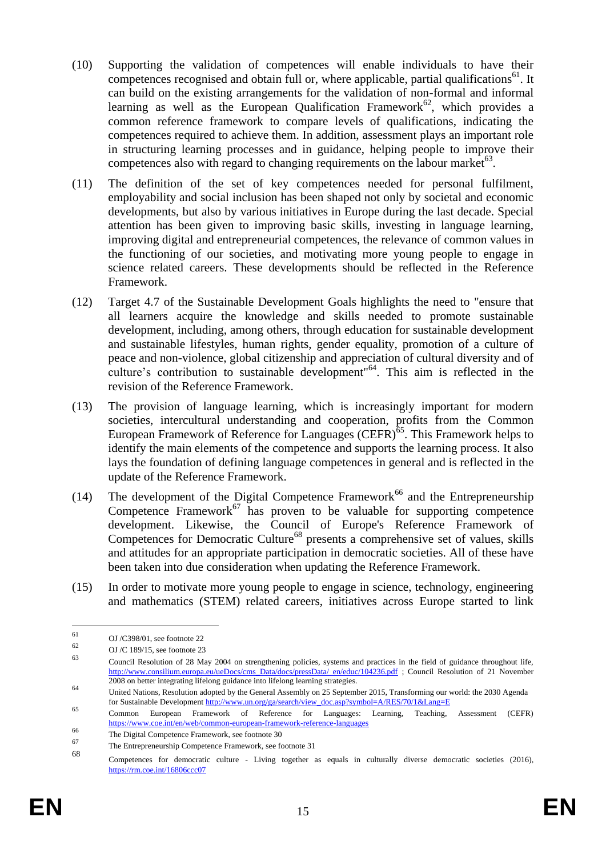- (10) Supporting the validation of competences will enable individuals to have their competences recognised and obtain full or, where applicable, partial qualifications<sup>61</sup>. It can build on the existing arrangements for the validation of non-formal and informal learning as well as the European Qualification Framework<sup>62</sup>, which provides a common reference framework to compare levels of qualifications, indicating the competences required to achieve them. In addition, assessment plays an important role in structuring learning processes and in guidance, helping people to improve their competences also with regard to changing requirements on the labour market $^{63}$ .
- (11) The definition of the set of key competences needed for personal fulfilment, employability and social inclusion has been shaped not only by societal and economic developments, but also by various initiatives in Europe during the last decade. Special attention has been given to improving basic skills, investing in language learning, improving digital and entrepreneurial competences, the relevance of common values in the functioning of our societies, and motivating more young people to engage in science related careers. These developments should be reflected in the Reference Framework.
- (12) Target 4.7 of the Sustainable Development Goals highlights the need to "ensure that all learners acquire the knowledge and skills needed to promote sustainable development, including, among others, through education for sustainable development and sustainable lifestyles, human rights, gender equality, promotion of a culture of peace and non-violence, global citizenship and appreciation of cultural diversity and of culture's contribution to sustainable development"<sup>64</sup>. This aim is reflected in the revision of the Reference Framework.
- (13) The provision of language learning, which is increasingly important for modern societies, intercultural understanding and cooperation, profits from the Common European Framework of Reference for Languages (CEFR)<sup> $65$ </sup>. This Framework helps to identify the main elements of the competence and supports the learning process. It also lays the foundation of defining language competences in general and is reflected in the update of the Reference Framework.
- (14) The development of the Digital Competence Framework<sup>66</sup> and the Entrepreneurship Competence Framework<sup>67</sup> has proven to be valuable for supporting competence development. Likewise, the Council of Europe's Reference Framework of Competences for Democratic Culture<sup>68</sup> presents a comprehensive set of values, skills and attitudes for an appropriate participation in democratic societies. All of these have been taken into due consideration when updating the Reference Framework.
- (15) In order to motivate more young people to engage in science, technology, engineering and mathematics (STEM) related careers, initiatives across Europe started to link

<sup>61</sup>  $61$  OJ /C398/01, see footnote 22

 $62$  OJ/C 189/15, see footnote 23

<sup>63</sup> Council Resolution of 28 May 2004 on strengthening policies, systems and practices in the field of guidance throughout life, [http://www.consilium.europa.eu/ueDocs/cms\\_Data/docs/pressData/ en/educ/104236.pdf](http://www.consilium.europa.eu/ueDocs/cms_Data/docs/pressData/%20en/educ/104236.pdf) ; Council Resolution of 21 November 2008 on better integrating lifelong guidance into lifelong learning strategies.

<sup>64</sup> United Nations, Resolution adopted by the General Assembly on 25 September 2015, Transforming our world: the 2030 Agenda for Sustainable Developmen[t http://www.un.org/ga/search/view\\_doc.asp?symbol=A/RES/70/1&Lang=E](http://www.un.org/ga/search/view_doc.asp?symbol=A/RES/70/1&Lang=E)

<sup>65</sup> Common European Framework of Reference for Languages: Learning, Teaching, Assessment (CEFR) <https://www.coe.int/en/web/common-european-framework-reference-languages>

<sup>66</sup> The Digital Competence Framework, see footnote 30

The Entrepreneurship Competence Framework, see footnote 31

<sup>68</sup> Competences for democratic culture - Living together as equals in culturally diverse democratic societies (2016), <https://rm.coe.int/16806ccc07>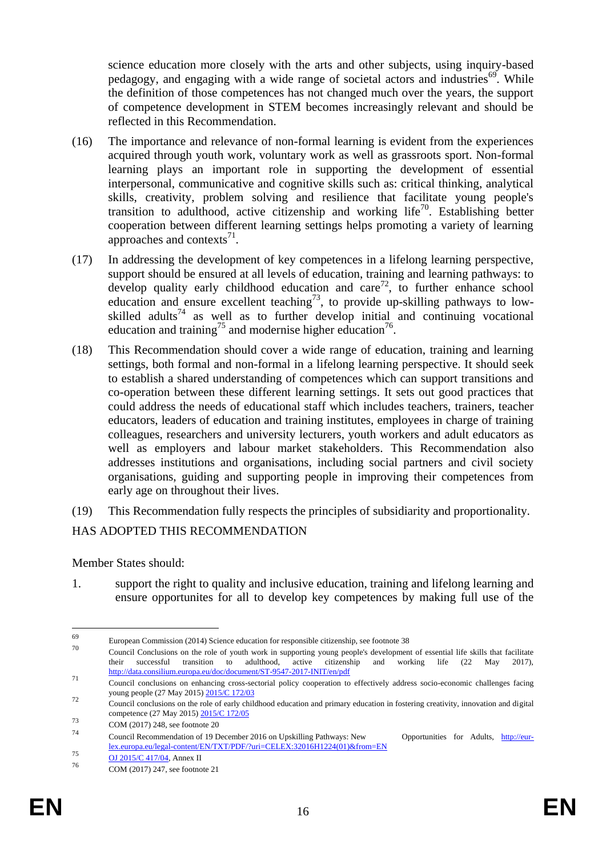science education more closely with the arts and other subjects, using inquiry-based pedagogy, and engaging with a wide range of societal actors and industries<sup>69</sup>. While the definition of those competences has not changed much over the years, the support of competence development in STEM becomes increasingly relevant and should be reflected in this Recommendation.

- (16) The importance and relevance of non-formal learning is evident from the experiences acquired through youth work, voluntary work as well as grassroots sport. Non-formal learning plays an important role in supporting the development of essential interpersonal, communicative and cognitive skills such as: critical thinking, analytical skills, creativity, problem solving and resilience that facilitate young people's transition to adulthood, active citizenship and working life<sup>70</sup>. Establishing better cooperation between different learning settings helps promoting a variety of learning approaches and contexts $^{71}$ .
- (17) In addressing the development of key competences in a lifelong learning perspective, support should be ensured at all levels of education, training and learning pathways: to develop quality early childhood education and care<sup>72</sup>, to further enhance school education and ensure excellent teaching<sup>73</sup>, to provide up-skilling pathways to lowskilled adults<sup>74</sup> as well as to further develop initial and continuing vocational education and training<sup>75</sup> and modernise higher education<sup>76</sup>.
- (18) This Recommendation should cover a wide range of education, training and learning settings, both formal and non-formal in a lifelong learning perspective. It should seek to establish a shared understanding of competences which can support transitions and co-operation between these different learning settings. It sets out good practices that could address the needs of educational staff which includes teachers, trainers, teacher educators, leaders of education and training institutes, employees in charge of training colleagues, researchers and university lecturers, youth workers and adult educators as well as employers and labour market stakeholders. This Recommendation also addresses institutions and organisations, including social partners and civil society organisations, guiding and supporting people in improving their competences from early age on throughout their lives.
- (19) This Recommendation fully respects the principles of subsidiarity and proportionality.

# HAS ADOPTED THIS RECOMMENDATION

Member States should:

1. support the right to quality and inclusive education, training and lifelong learning and ensure opportunites for all to develop key competences by making full use of the

<sup>69</sup>  $\frac{69}{70}$  European Commission (2014) Science education for responsible citizenship, see footnote 38

<sup>70</sup> Council Conclusions on the role of youth work in supporting young people's development of essential life skills that facilitate their successful transition to adulthood, active citizenship and working life (22 May 2017), <http://data.consilium.europa.eu/doc/document/ST-9547-2017-INIT/en/pdf>

<sup>&</sup>lt;sup>71</sup> Council conclusions on enhancing cross-sectorial policy cooperation to effectively address socio-economic challenges facing young people (27 May 2015[\) 2015/C 172/03](2015/C%20172/03)

<sup>&</sup>lt;sup>72</sup> Council conclusions on the role of early childhood education and primary education in fostering creativity, innovation and digital competence (27 May 2015) [2015/C 172/05](http://eur-lex.europa.eu/legal-content/EN/TXT/PDF/?uri=OJ:C:2015:172:FULL&from=EN)

 $73$  COM (2017) 248, see footnote 20

<sup>74</sup> Council Recommendation of 19 December 2016 on Upskilling Pathways: New Opportunities for Adults, [http://eur](http://eur-lex.europa.eu/legal-content/EN/TXT/PDF/?uri=CELEX:32016H1224(01)&from=EN)[lex.europa.eu/legal-content/EN/TXT/PDF/?uri=CELEX:32016H1224\(01\)&from=EN](http://eur-lex.europa.eu/legal-content/EN/TXT/PDF/?uri=CELEX:32016H1224(01)&from=EN)

<sup>75 &</sup>lt;u>OJ 2015/C 417/04</u>, Annex II

COM (2017) 247, see footnote 21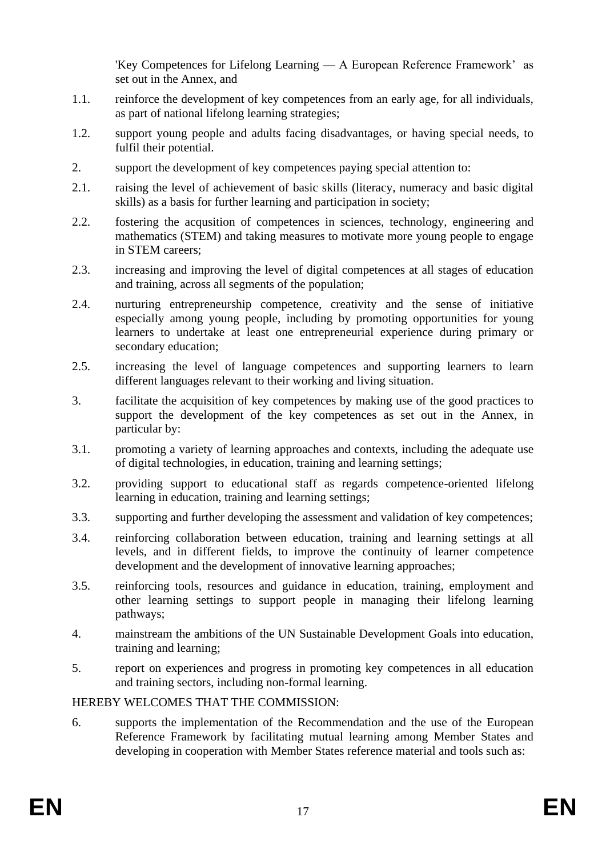'Key Competences for Lifelong Learning — A European Reference Framework' as set out in the Annex, and

- 1.1. reinforce the development of key competences from an early age, for all individuals, as part of national lifelong learning strategies;
- 1.2. support young people and adults facing disadvantages, or having special needs, to fulfil their potential.
- 2. support the development of key competences paying special attention to:
- 2.1. raising the level of achievement of basic skills (literacy, numeracy and basic digital skills) as a basis for further learning and participation in society;
- 2.2. fostering the acqusition of competences in sciences, technology, engineering and mathematics (STEM) and taking measures to motivate more young people to engage in STEM careers;
- 2.3. increasing and improving the level of digital competences at all stages of education and training, across all segments of the population;
- 2.4. nurturing entrepreneurship competence, creativity and the sense of initiative especially among young people, including by promoting opportunities for young learners to undertake at least one entrepreneurial experience during primary or secondary education;
- 2.5. increasing the level of language competences and supporting learners to learn different languages relevant to their working and living situation.
- 3. facilitate the acquisition of key competences by making use of the good practices to support the development of the key competences as set out in the Annex, in particular by:
- 3.1. promoting a variety of learning approaches and contexts, including the adequate use of digital technologies, in education, training and learning settings;
- 3.2. providing support to educational staff as regards competence-oriented lifelong learning in education, training and learning settings;
- 3.3. supporting and further developing the assessment and validation of key competences;
- 3.4. reinforcing collaboration between education, training and learning settings at all levels, and in different fields, to improve the continuity of learner competence development and the development of innovative learning approaches;
- 3.5. reinforcing tools, resources and guidance in education, training, employment and other learning settings to support people in managing their lifelong learning pathways;
- 4. mainstream the ambitions of the UN Sustainable Development Goals into education, training and learning;
- 5. report on experiences and progress in promoting key competences in all education and training sectors, including non-formal learning.

# HEREBY WELCOMES THAT THE COMMISSION:

6. supports the implementation of the Recommendation and the use of the European Reference Framework by facilitating mutual learning among Member States and developing in cooperation with Member States reference material and tools such as: